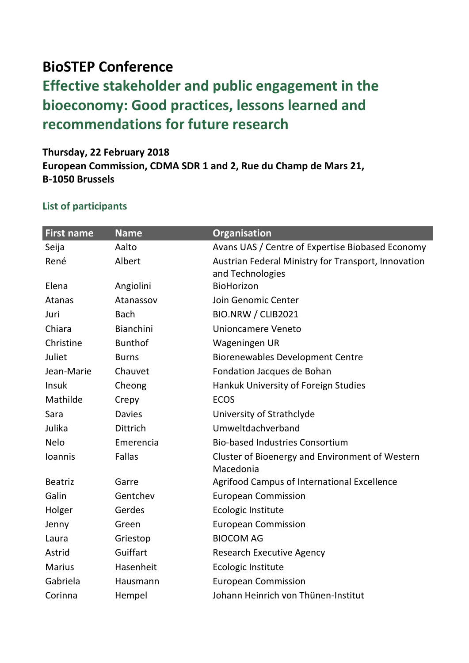## **BioSTEP Conference**

## **Effective stakeholder and public engagement in the bioeconomy: Good practices, lessons learned and recommendations for future research**

## **Thursday, 22 February 2018 European Commission, CDMA SDR 1 and 2, Rue du Champ de Mars 21, B-1050 Brussels**

## **List of participants**

| <b>First name</b> | <b>Name</b>     | <b>Organisation</b>                                 |
|-------------------|-----------------|-----------------------------------------------------|
| Seija             | Aalto           | Avans UAS / Centre of Expertise Biobased Economy    |
| René              | Albert          | Austrian Federal Ministry for Transport, Innovation |
|                   |                 | and Technologies                                    |
| Elena             | Angiolini       | BioHorizon                                          |
| <b>Atanas</b>     | Atanassov       | Join Genomic Center                                 |
| Juri              | <b>Bach</b>     | BIO.NRW / CLIB2021                                  |
| Chiara            | Bianchini       | Unioncamere Veneto                                  |
| Christine         | <b>Bunthof</b>  | Wageningen UR                                       |
| Juliet            | <b>Burns</b>    | <b>Biorenewables Development Centre</b>             |
| Jean-Marie        | Chauvet         | Fondation Jacques de Bohan                          |
| Insuk             | Cheong          | Hankuk University of Foreign Studies                |
| Mathilde          | Crepy           | <b>ECOS</b>                                         |
| Sara              | <b>Davies</b>   | University of Strathclyde                           |
| Julika            | <b>Dittrich</b> | Umweltdachverband                                   |
| Nelo              | Emerencia       | <b>Bio-based Industries Consortium</b>              |
| Ioannis           | Fallas          | Cluster of Bioenergy and Environment of Western     |
|                   |                 | Macedonia                                           |
| <b>Beatriz</b>    | Garre           | <b>Agrifood Campus of International Excellence</b>  |
| Galin             | Gentchev        | <b>European Commission</b>                          |
| Holger            | Gerdes          | Ecologic Institute                                  |
| Jenny             | Green           | <b>European Commission</b>                          |
| Laura             | Griestop        | <b>BIOCOM AG</b>                                    |
| Astrid            | Guiffart        | <b>Research Executive Agency</b>                    |
| <b>Marius</b>     | Hasenheit       | Ecologic Institute                                  |
| Gabriela          | Hausmann        | <b>European Commission</b>                          |
| Corinna           | Hempel          | Johann Heinrich von Thünen-Institut                 |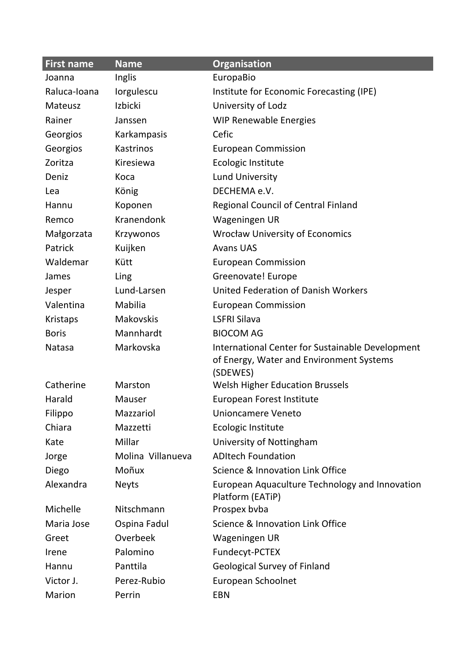| <b>First name</b> | <b>Name</b>       | Organisation                                         |
|-------------------|-------------------|------------------------------------------------------|
| Joanna            | Inglis            | EuropaBio                                            |
| Raluca-Ioana      | lorgulescu        | Institute for Economic Forecasting (IPE)             |
| Mateusz           | Izbicki           | University of Lodz                                   |
| Rainer            | Janssen           | <b>WIP Renewable Energies</b>                        |
| Georgios          | Karkampasis       | Cefic                                                |
| Georgios          | Kastrinos         | <b>European Commission</b>                           |
| Zoritza           | Kiresiewa         | Ecologic Institute                                   |
| Deniz             | Koca              | <b>Lund University</b>                               |
| Lea               | König             | DECHEMA e.V.                                         |
| Hannu             | Koponen           | <b>Regional Council of Central Finland</b>           |
| Remco             | Kranendonk        | Wageningen UR                                        |
| Małgorzata        | Krzywonos         | <b>Wrocław University of Economics</b>               |
| Patrick           | Kuijken           | <b>Avans UAS</b>                                     |
| Waldemar          | Kütt              | <b>European Commission</b>                           |
| James             | Ling              | Greenovate! Europe                                   |
| Jesper            | Lund-Larsen       | <b>United Federation of Danish Workers</b>           |
| Valentina         | Mabilia           | <b>European Commission</b>                           |
| <b>Kristaps</b>   | <b>Makovskis</b>  | <b>LSFRI Silava</b>                                  |
| <b>Boris</b>      | Mannhardt         | <b>BIOCOM AG</b>                                     |
| Natasa            | Markovska         | International Center for Sustainable Development     |
|                   |                   | of Energy, Water and Environment Systems<br>(SDEWES) |
| Catherine         | Marston           | <b>Welsh Higher Education Brussels</b>               |
| Harald            | Mauser            | European Forest Institute                            |
| Filippo           | Mazzariol         | Unioncamere Veneto                                   |
| Chiara            | Mazzetti          | Ecologic Institute                                   |
| Kate              | Millar            | University of Nottingham                             |
| Jorge             | Molina Villanueva | <b>ADItech Foundation</b>                            |
| Diego             | Moñux             | Science & Innovation Link Office                     |
| Alexandra         | <b>Neyts</b>      | European Aquaculture Technology and Innovation       |
|                   |                   | Platform (EATiP)                                     |
| Michelle          | Nitschmann        | Prospex byba                                         |
| Maria Jose        | Ospina Fadul      | Science & Innovation Link Office                     |
| Greet             | Overbeek          | Wageningen UR                                        |
| Irene             | Palomino          | Fundecyt-PCTEX                                       |
| Hannu             | Panttila          | <b>Geological Survey of Finland</b>                  |
| Victor J.         | Perez-Rubio       | European Schoolnet                                   |
| Marion            | Perrin            | <b>EBN</b>                                           |